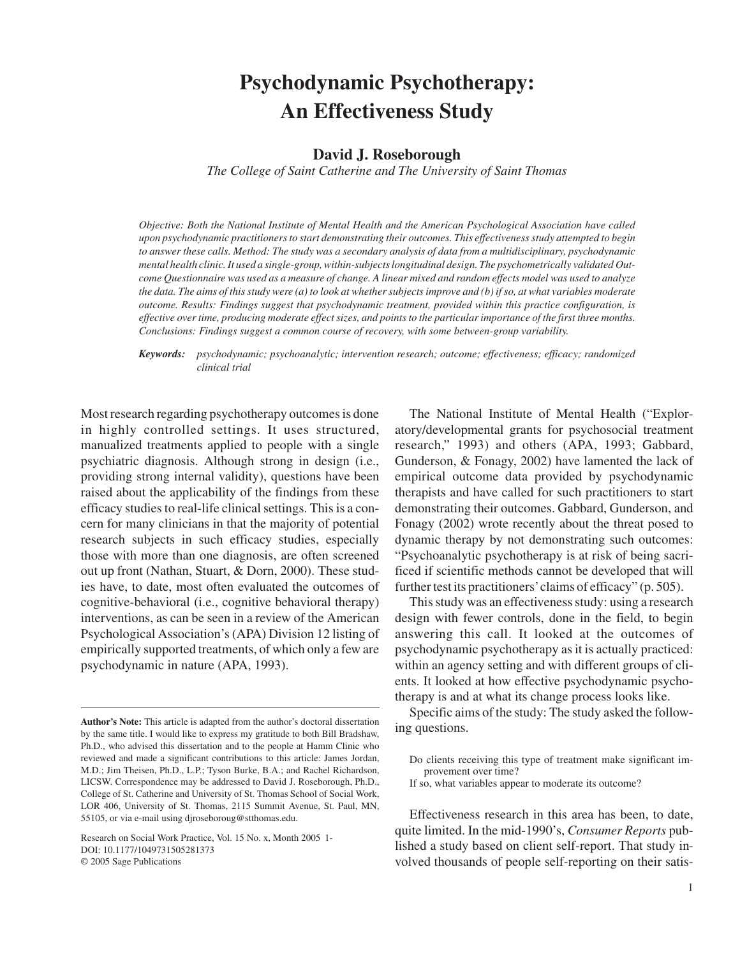# **Psychodynamic Psychotherapy: An Effectiveness Study**

# **David J. Roseborough**

*The College of Saint Catherine and The University of Saint Thomas*

*Objective: Both the National Institute of Mental Health and the American Psychological Association have called upon psychodynamic practitioners to start demonstrating their outcomes. This effectiveness study attempted to begin to answer these calls. Method: The study was a secondary analysis of data from a multidisciplinary, psychodynamic mental health clinic. It used a single-group, within-subjects longitudinal design. The psychometrically validated Outcome Questionnaire was used as a measure of change. A linear mixed and random effects model was used to analyze the data. The aims of this study were (a) to look at whether subjects improve and (b) if so, at what variables moderate outcome. Results: Findings suggest that psychodynamic treatment, provided within this practice configuration, is effective over time, producing moderate effect sizes, and points to the particular importance of the first three months. Conclusions: Findings suggest a common course of recovery, with some between-group variability.*

*Keywords: psychodynamic; psychoanalytic; intervention research; outcome; effectiveness; efficacy; randomized clinical trial*

Most research regarding psychotherapy outcomes is done in highly controlled settings. It uses structured, manualized treatments applied to people with a single psychiatric diagnosis. Although strong in design (i.e., providing strong internal validity), questions have been raised about the applicability of the findings from these efficacy studies to real-life clinical settings. This is a concern for many clinicians in that the majority of potential research subjects in such efficacy studies, especially those with more than one diagnosis, are often screened out up front (Nathan, Stuart, & Dorn, 2000). These studies have, to date, most often evaluated the outcomes of cognitive-behavioral (i.e., cognitive behavioral therapy) interventions, as can be seen in a review of the American Psychological Association's (APA) Division 12 listing of empirically supported treatments, of which only a few are psychodynamic in nature (APA, 1993).

Research on Social Work Practice, Vol. 15 No. x, Month 2005 1- DOI: 10.1177/1049731505281373 © 2005 Sage Publications

The National Institute of Mental Health ("Exploratory/developmental grants for psychosocial treatment research," 1993) and others (APA, 1993; Gabbard, Gunderson, & Fonagy, 2002) have lamented the lack of empirical outcome data provided by psychodynamic therapists and have called for such practitioners to start demonstrating their outcomes. Gabbard, Gunderson, and Fonagy (2002) wrote recently about the threat posed to dynamic therapy by not demonstrating such outcomes: "Psychoanalytic psychotherapy is at risk of being sacrificed if scientific methods cannot be developed that will further test its practitioners'claims of efficacy" (p. 505).

This study was an effectiveness study: using a research design with fewer controls, done in the field, to begin answering this call. It looked at the outcomes of psychodynamic psychotherapy as it is actually practiced: within an agency setting and with different groups of clients. It looked at how effective psychodynamic psychotherapy is and at what its change process looks like.

Specific aims of the study: The study asked the following questions.

If so, what variables appear to moderate its outcome?

Effectiveness research in this area has been, to date, quite limited. In the mid-1990's, *Consumer Reports* published a study based on client self-report. That study involved thousands of people self-reporting on their satis-

**Author's Note:** This article is adapted from the author's doctoral dissertation by the same title. I would like to express my gratitude to both Bill Bradshaw, Ph.D., who advised this dissertation and to the people at Hamm Clinic who reviewed and made a significant contributions to this article: James Jordan, M.D.; Jim Theisen, Ph.D., L.P.; Tyson Burke, B.A.; and Rachel Richardson, LICSW. Correspondence may be addressed to David J. Roseborough, Ph.D., College of St. Catherine and University of St. Thomas School of Social Work, LOR 406, University of St. Thomas, 2115 Summit Avenue, St. Paul, MN, 55105, or via e-mail using djroseboroug@stthomas.edu.

Do clients receiving this type of treatment make significant improvement over time?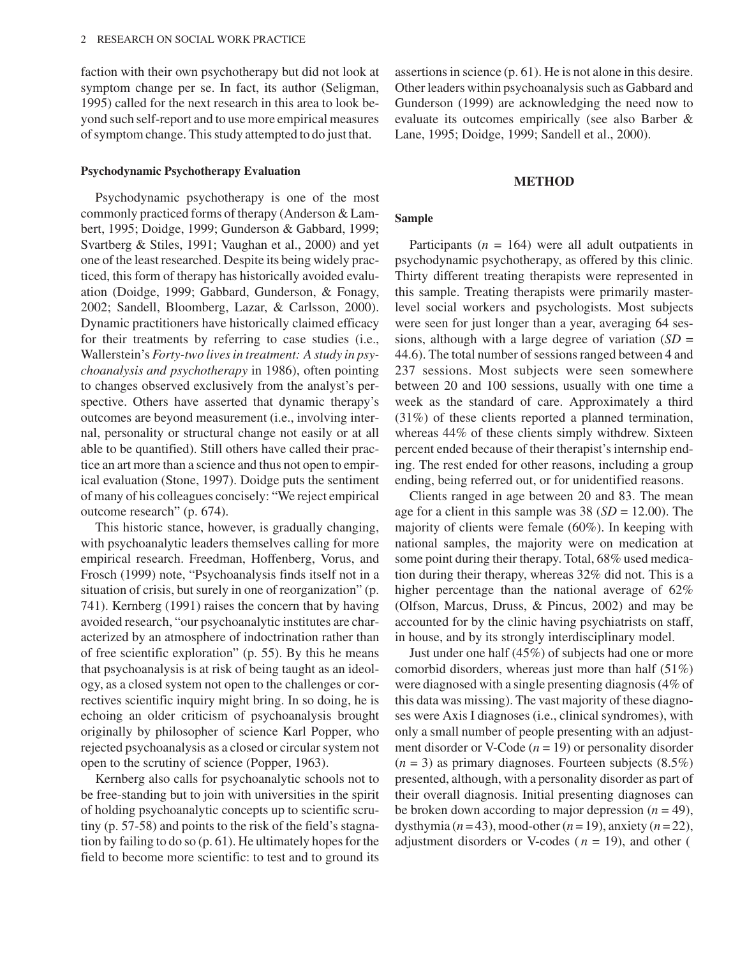faction with their own psychotherapy but did not look at symptom change per se. In fact, its author (Seligman, 1995) called for the next research in this area to look beyond such self-report and to use more empirical measures of symptom change. This study attempted to do just that.

#### **Psychodynamic Psychotherapy Evaluation**

Psychodynamic psychotherapy is one of the most commonly practiced forms of therapy (Anderson & Lambert, 1995; Doidge, 1999; Gunderson & Gabbard, 1999; Svartberg & Stiles, 1991; Vaughan et al., 2000) and yet one of the least researched. Despite its being widely practiced, this form of therapy has historically avoided evaluation (Doidge, 1999; Gabbard, Gunderson, & Fonagy, 2002; Sandell, Bloomberg, Lazar, & Carlsson, 2000). Dynamic practitioners have historically claimed efficacy for their treatments by referring to case studies (i.e., Wallerstein's *Forty-two lives in treatment: A study in psychoanalysis and psychotherapy* in 1986), often pointing to changes observed exclusively from the analyst's perspective. Others have asserted that dynamic therapy's outcomes are beyond measurement (i.e., involving internal, personality or structural change not easily or at all able to be quantified). Still others have called their practice an art more than a science and thus not open to empirical evaluation (Stone, 1997). Doidge puts the sentiment of many of his colleagues concisely: "We reject empirical outcome research" (p. 674).

This historic stance, however, is gradually changing, with psychoanalytic leaders themselves calling for more empirical research. Freedman, Hoffenberg, Vorus, and Frosch (1999) note, "Psychoanalysis finds itself not in a situation of crisis, but surely in one of reorganization" (p. 741). Kernberg (1991) raises the concern that by having avoided research, "our psychoanalytic institutes are characterized by an atmosphere of indoctrination rather than of free scientific exploration" (p. 55). By this he means that psychoanalysis is at risk of being taught as an ideology, as a closed system not open to the challenges or correctives scientific inquiry might bring. In so doing, he is echoing an older criticism of psychoanalysis brought originally by philosopher of science Karl Popper, who rejected psychoanalysis as a closed or circular system not open to the scrutiny of science (Popper, 1963).

Kernberg also calls for psychoanalytic schools not to be free-standing but to join with universities in the spirit of holding psychoanalytic concepts up to scientific scrutiny (p. 57-58) and points to the risk of the field's stagnation by failing to do so (p. 61). He ultimately hopes for the field to become more scientific: to test and to ground its

assertions in science (p. 61). He is not alone in this desire. Other leaders within psychoanalysis such as Gabbard and Gunderson (1999) are acknowledging the need now to evaluate its outcomes empirically (see also Barber & Lane, 1995; Doidge, 1999; Sandell et al., 2000).

#### **METHOD**

## **Sample**

Participants  $(n = 164)$  were all adult outpatients in psychodynamic psychotherapy, as offered by this clinic. Thirty different treating therapists were represented in this sample. Treating therapists were primarily masterlevel social workers and psychologists. Most subjects were seen for just longer than a year, averaging 64 sessions, although with a large degree of variation (*SD* = 44.6). The total number of sessions ranged between 4 and 237 sessions. Most subjects were seen somewhere between 20 and 100 sessions, usually with one time a week as the standard of care. Approximately a third (31%) of these clients reported a planned termination, whereas  $44\%$  of these clients simply withdrew. Sixteen percent ended because of their therapist's internship ending. The rest ended for other reasons, including a group ending, being referred out, or for unidentified reasons.

Clients ranged in age between 20 and 83. The mean age for a client in this sample was 38 (*SD* = 12.00). The majority of clients were female (60%). In keeping with national samples, the majority were on medication at some point during their therapy. Total, 68% used medication during their therapy, whereas 32% did not. This is a higher percentage than the national average of 62% (Olfson, Marcus, Druss, & Pincus, 2002) and may be accounted for by the clinic having psychiatrists on staff, in house, and by its strongly interdisciplinary model.

Just under one half (45%) of subjects had one or more comorbid disorders, whereas just more than half (51%) were diagnosed with a single presenting diagnosis (4% of this data was missing). The vast majority of these diagnoses were Axis I diagnoses (i.e., clinical syndromes), with only a small number of people presenting with an adjustment disorder or V-Code  $(n = 19)$  or personality disorder  $(n = 3)$  as primary diagnoses. Fourteen subjects  $(8.5\%)$ presented, although, with a personality disorder as part of their overall diagnosis. Initial presenting diagnoses can be broken down according to major depression  $(n = 49)$ , dysthymia ( $n = 43$ ), mood-other ( $n = 19$ ), anxiety ( $n = 22$ ), adjustment disorders or V-codes ( $n = 19$ ), and other (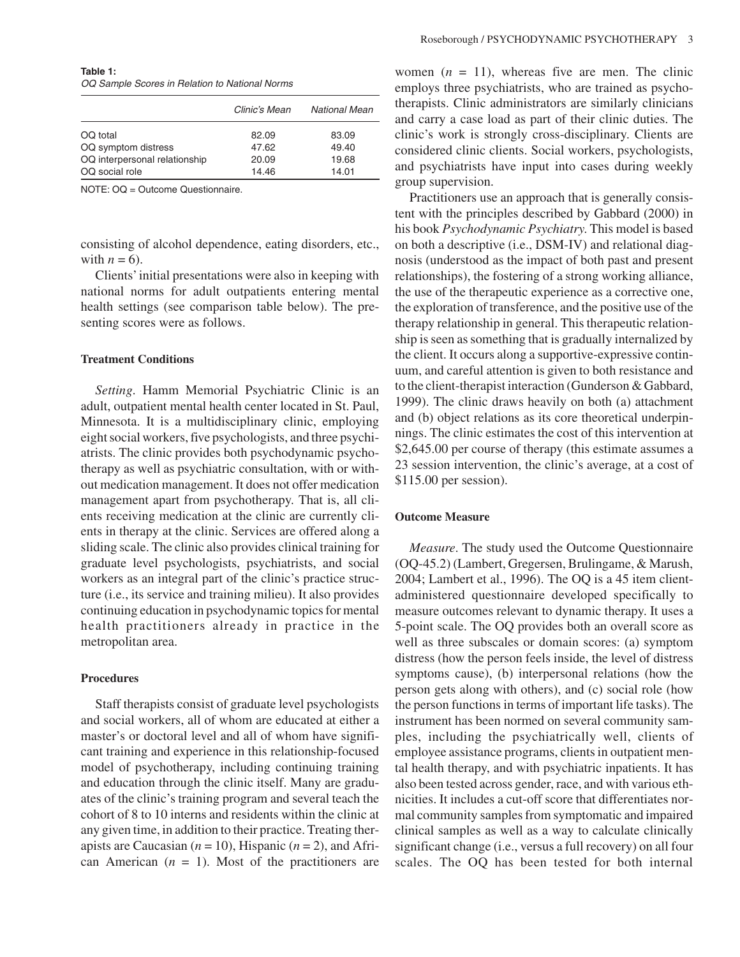**Table 1:** OQ Sample Scores in Relation to National Norms

|                               | Clinic's Mean | <b>National Mean</b> |
|-------------------------------|---------------|----------------------|
| OQ total                      | 82.09         | 83.09                |
| OQ symptom distress           | 47.62         | 49.40                |
| OQ interpersonal relationship | 20.09         | 19.68                |
| OQ social role                | 14.46         | 14.01                |

NOTE: OQ = Outcome Questionnaire.

consisting of alcohol dependence, eating disorders, etc., with  $n = 6$ ).

Clients'initial presentations were also in keeping with national norms for adult outpatients entering mental health settings (see comparison table below). The presenting scores were as follows.

#### **Treatment Conditions**

*Setting*. Hamm Memorial Psychiatric Clinic is an adult, outpatient mental health center located in St. Paul, Minnesota. It is a multidisciplinary clinic, employing eight social workers, five psychologists, and three psychiatrists. The clinic provides both psychodynamic psychotherapy as well as psychiatric consultation, with or without medication management. It does not offer medication management apart from psychotherapy. That is, all clients receiving medication at the clinic are currently clients in therapy at the clinic. Services are offered along a sliding scale. The clinic also provides clinical training for graduate level psychologists, psychiatrists, and social workers as an integral part of the clinic's practice structure (i.e., its service and training milieu). It also provides continuing education in psychodynamic topics for mental health practitioners already in practice in the metropolitan area.

#### **Procedures**

Staff therapists consist of graduate level psychologists and social workers, all of whom are educated at either a master's or doctoral level and all of whom have significant training and experience in this relationship-focused model of psychotherapy, including continuing training and education through the clinic itself. Many are graduates of the clinic's training program and several teach the cohort of 8 to 10 interns and residents within the clinic at any given time, in addition to their practice. Treating therapists are Caucasian  $(n = 10)$ , Hispanic  $(n = 2)$ , and African American  $(n = 1)$ . Most of the practitioners are

women  $(n = 11)$ , whereas five are men. The clinic employs three psychiatrists, who are trained as psychotherapists. Clinic administrators are similarly clinicians and carry a case load as part of their clinic duties. The clinic's work is strongly cross-disciplinary. Clients are considered clinic clients. Social workers, psychologists, and psychiatrists have input into cases during weekly group supervision.

Practitioners use an approach that is generally consistent with the principles described by Gabbard (2000) in his book *Psychodynamic Psychiatry*. This model is based on both a descriptive (i.e., DSM-IV) and relational diagnosis (understood as the impact of both past and present relationships), the fostering of a strong working alliance, the use of the therapeutic experience as a corrective one, the exploration of transference, and the positive use of the therapy relationship in general. This therapeutic relationship is seen as something that is gradually internalized by the client. It occurs along a supportive-expressive continuum, and careful attention is given to both resistance and to the client-therapist interaction (Gunderson & Gabbard, 1999). The clinic draws heavily on both (a) attachment and (b) object relations as its core theoretical underpinnings. The clinic estimates the cost of this intervention at \$2,645.00 per course of therapy (this estimate assumes a 23 session intervention, the clinic's average, at a cost of \$115.00 per session).

## **Outcome Measure**

*Measure*. The study used the Outcome Questionnaire (OQ-45.2) (Lambert, Gregersen, Brulingame, & Marush, 2004; Lambert et al., 1996). The OQ is a 45 item clientadministered questionnaire developed specifically to measure outcomes relevant to dynamic therapy. It uses a 5-point scale. The OQ provides both an overall score as well as three subscales or domain scores: (a) symptom distress (how the person feels inside, the level of distress symptoms cause), (b) interpersonal relations (how the person gets along with others), and (c) social role (how the person functions in terms of important life tasks). The instrument has been normed on several community samples, including the psychiatrically well, clients of employee assistance programs, clients in outpatient mental health therapy, and with psychiatric inpatients. It has also been tested across gender, race, and with various ethnicities. It includes a cut-off score that differentiates normal community samples from symptomatic and impaired clinical samples as well as a way to calculate clinically significant change (i.e., versus a full recovery) on all four scales. The OQ has been tested for both internal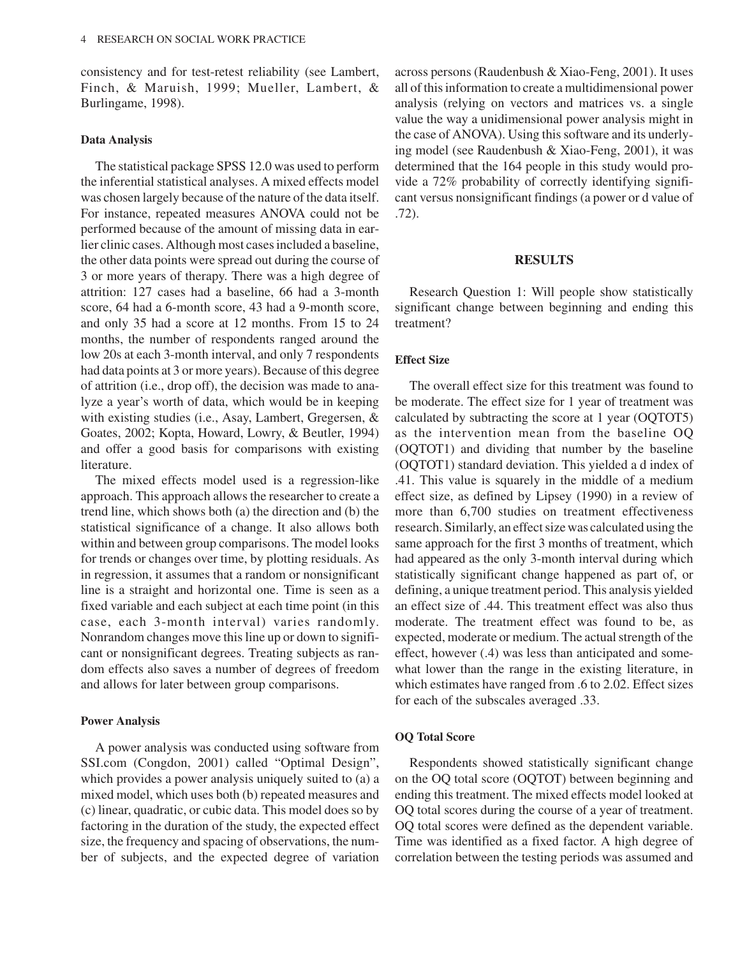consistency and for test-retest reliability (see Lambert, Finch, & Maruish, 1999; Mueller, Lambert, & Burlingame, 1998).

#### **Data Analysis**

The statistical package SPSS 12.0 was used to perform the inferential statistical analyses. A mixed effects model was chosen largely because of the nature of the data itself. For instance, repeated measures ANOVA could not be performed because of the amount of missing data in earlier clinic cases. Although most cases included a baseline, the other data points were spread out during the course of 3 or more years of therapy. There was a high degree of attrition: 127 cases had a baseline, 66 had a 3-month score, 64 had a 6-month score, 43 had a 9-month score, and only 35 had a score at 12 months. From 15 to 24 months, the number of respondents ranged around the low 20s at each 3-month interval, and only 7 respondents had data points at 3 or more years). Because of this degree of attrition (i.e., drop off), the decision was made to analyze a year's worth of data, which would be in keeping with existing studies (i.e., Asay, Lambert, Gregersen, & Goates, 2002; Kopta, Howard, Lowry, & Beutler, 1994) and offer a good basis for comparisons with existing literature.

The mixed effects model used is a regression-like approach. This approach allows the researcher to create a trend line, which shows both (a) the direction and (b) the statistical significance of a change. It also allows both within and between group comparisons. The model looks for trends or changes over time, by plotting residuals. As in regression, it assumes that a random or nonsignificant line is a straight and horizontal one. Time is seen as a fixed variable and each subject at each time point (in this case, each 3-month interval) varies randomly. Nonrandom changes move this line up or down to significant or nonsignificant degrees. Treating subjects as random effects also saves a number of degrees of freedom and allows for later between group comparisons.

#### **Power Analysis**

A power analysis was conducted using software from SSI.com (Congdon, 2001) called "Optimal Design", which provides a power analysis uniquely suited to (a) a mixed model, which uses both (b) repeated measures and (c) linear, quadratic, or cubic data. This model does so by factoring in the duration of the study, the expected effect size, the frequency and spacing of observations, the number of subjects, and the expected degree of variation

across persons (Raudenbush & Xiao-Feng, 2001). It uses all of this information to create a multidimensional power analysis (relying on vectors and matrices vs. a single value the way a unidimensional power analysis might in the case of ANOVA). Using this software and its underlying model (see Raudenbush & Xiao-Feng, 2001), it was determined that the 164 people in this study would provide a 72% probability of correctly identifying significant versus nonsignificant findings (a power or d value of .72).

### **RESULTS**

Research Question 1: Will people show statistically significant change between beginning and ending this treatment?

#### **Effect Size**

The overall effect size for this treatment was found to be moderate. The effect size for 1 year of treatment was calculated by subtracting the score at 1 year (OQTOT5) as the intervention mean from the baseline OQ (OQTOT1) and dividing that number by the baseline (OQTOT1) standard deviation. This yielded a d index of .41. This value is squarely in the middle of a medium effect size, as defined by Lipsey (1990) in a review of more than 6,700 studies on treatment effectiveness research. Similarly, an effect size was calculated using the same approach for the first 3 months of treatment, which had appeared as the only 3-month interval during which statistically significant change happened as part of, or defining, a unique treatment period. This analysis yielded an effect size of .44. This treatment effect was also thus moderate. The treatment effect was found to be, as expected, moderate or medium. The actual strength of the effect, however (.4) was less than anticipated and somewhat lower than the range in the existing literature, in which estimates have ranged from .6 to 2.02. Effect sizes for each of the subscales averaged .33.

## **OQ Total Score**

Respondents showed statistically significant change on the OQ total score (OQTOT) between beginning and ending this treatment. The mixed effects model looked at OQ total scores during the course of a year of treatment. OQ total scores were defined as the dependent variable. Time was identified as a fixed factor. A high degree of correlation between the testing periods was assumed and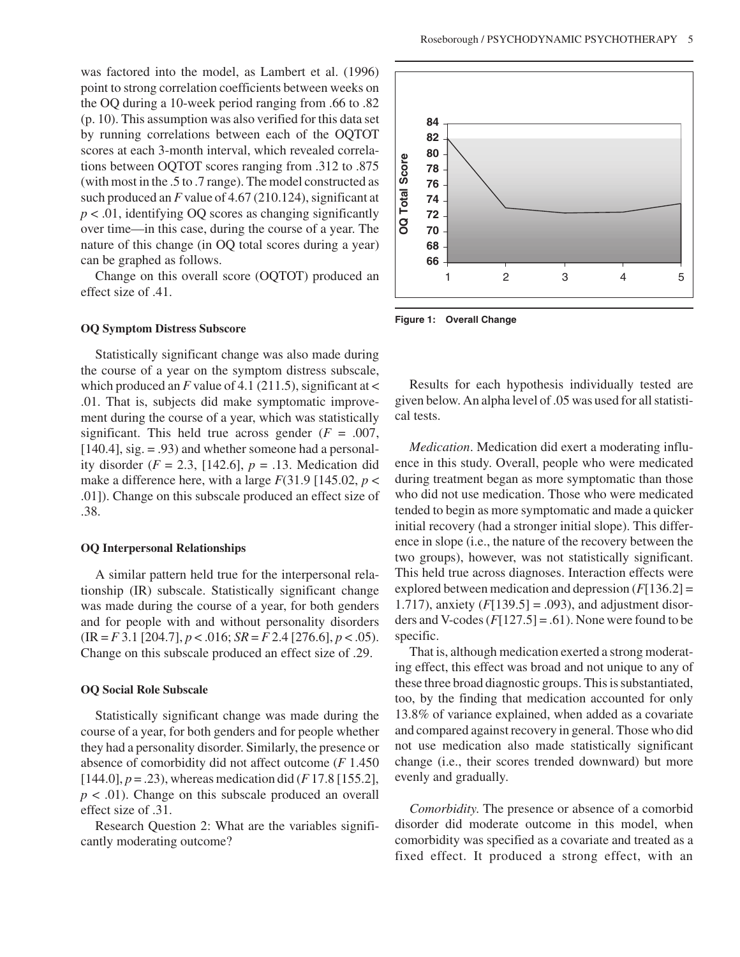was factored into the model, as Lambert et al. (1996) point to strong correlation coefficients between weeks on the OQ during a 10-week period ranging from .66 to .82 (p. 10). This assumption was also verified for this data set by running correlations between each of the OQTOT scores at each 3-month interval, which revealed correlations between OQTOT scores ranging from .312 to .875 (with most in the .5 to .7 range). The model constructed as such produced an *F* value of 4.67 (210.124), significant at  $p < .01$ , identifying OQ scores as changing significantly over time—in this case, during the course of a year. The nature of this change (in OQ total scores during a year) can be graphed as follows.

Change on this overall score (OQTOT) produced an effect size of .41.

#### **OQ Symptom Distress Subscore**

Statistically significant change was also made during the course of a year on the symptom distress subscale, which produced an  $F$  value of 4.1 (211.5), significant at  $\lt$ .01. That is, subjects did make symptomatic improvement during the course of a year, which was statistically significant. This held true across gender  $(F = .007, )$  $[140.4]$ , sig. = .93) and whether someone had a personality disorder  $(F = 2.3, [142.6], p = .13$ . Medication did make a difference here, with a large  $F(31.9 \mid 145.02, p <$ .01]). Change on this subscale produced an effect size of .38.

#### **OQ Interpersonal Relationships**

A similar pattern held true for the interpersonal relationship (IR) subscale. Statistically significant change was made during the course of a year, for both genders and for people with and without personality disorders (IR = *F* 3.1 [204.7], *p* < .016; *SR* = *F* 2.4 [276.6], *p* < .05). Change on this subscale produced an effect size of .29.

#### **OQ Social Role Subscale**

Statistically significant change was made during the course of a year, for both genders and for people whether they had a personality disorder. Similarly, the presence or absence of comorbidity did not affect outcome (*F* 1.450  $[144.0], p = .23$ , whereas medication did (*F* 17.8 [155.2], *p* < .01). Change on this subscale produced an overall effect size of .31.

Research Question 2: What are the variables significantly moderating outcome?



**Figure 1: Overall Change**

Results for each hypothesis individually tested are given below. An alpha level of .05 was used for all statistical tests.

*Medication*. Medication did exert a moderating influence in this study. Overall, people who were medicated during treatment began as more symptomatic than those who did not use medication. Those who were medicated tended to begin as more symptomatic and made a quicker initial recovery (had a stronger initial slope). This difference in slope (i.e., the nature of the recovery between the two groups), however, was not statistically significant. This held true across diagnoses. Interaction effects were explored between medication and depression (*F*[136.2] = 1.717), anxiety (*F*[139.5] = .093), and adjustment disorders and V-codes  $(F[127.5] = .61)$ . None were found to be specific.

That is, although medication exerted a strong moderating effect, this effect was broad and not unique to any of these three broad diagnostic groups. This is substantiated, too, by the finding that medication accounted for only 13.8% of variance explained, when added as a covariate and compared against recovery in general. Those who did not use medication also made statistically significant change (i.e., their scores trended downward) but more evenly and gradually.

*Comorbidity*. The presence or absence of a comorbid disorder did moderate outcome in this model, when comorbidity was specified as a covariate and treated as a fixed effect. It produced a strong effect, with an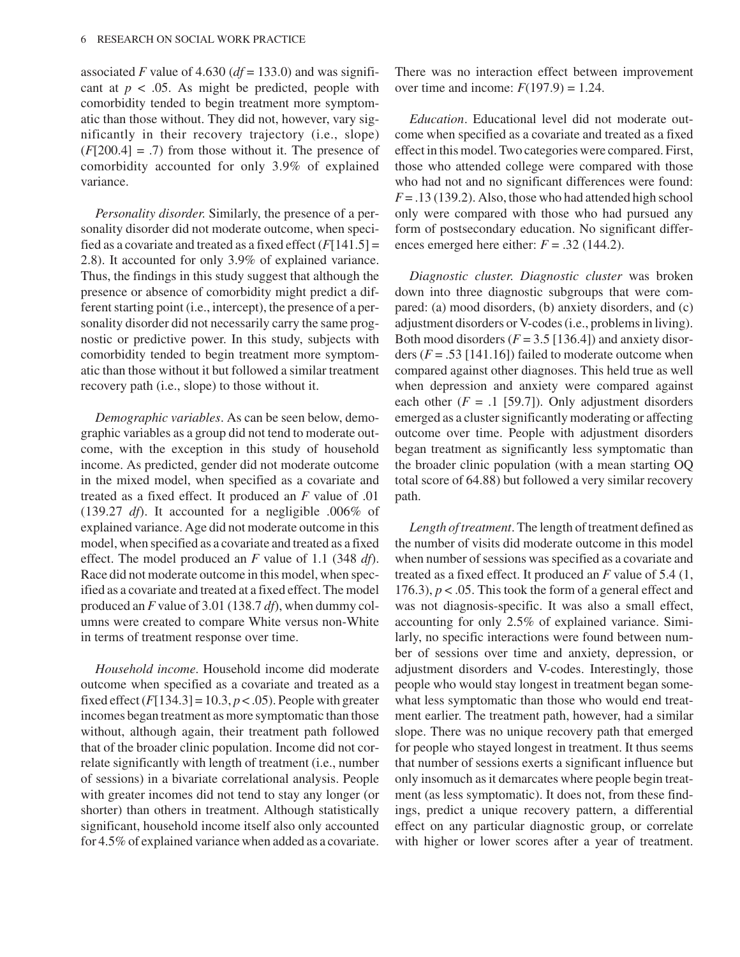associated *F* value of 4.630 ( $df = 133.0$ ) and was significant at  $p < .05$ . As might be predicted, people with comorbidity tended to begin treatment more symptomatic than those without. They did not, however, vary significantly in their recovery trajectory (i.e., slope)  $(F[200.4] = .7)$  from those without it. The presence of comorbidity accounted for only 3.9% of explained variance.

*Personality disorder*. Similarly, the presence of a personality disorder did not moderate outcome, when specified as a covariate and treated as a fixed effect  $(F[141.5] =$ 2.8). It accounted for only 3.9% of explained variance. Thus, the findings in this study suggest that although the presence or absence of comorbidity might predict a different starting point (i.e., intercept), the presence of a personality disorder did not necessarily carry the same prognostic or predictive power. In this study, subjects with comorbidity tended to begin treatment more symptomatic than those without it but followed a similar treatment recovery path (i.e., slope) to those without it.

*Demographic variables*. As can be seen below, demographic variables as a group did not tend to moderate outcome, with the exception in this study of household income. As predicted, gender did not moderate outcome in the mixed model, when specified as a covariate and treated as a fixed effect. It produced an *F* value of .01 (139.27 *df*). It accounted for a negligible .006% of explained variance. Age did not moderate outcome in this model, when specified as a covariate and treated as a fixed effect. The model produced an *F* value of 1.1 (348 *df*). Race did not moderate outcome in this model, when specified as a covariate and treated at a fixed effect. The model produced an *F* value of 3.01 (138.7 *df*), when dummy columns were created to compare White versus non-White in terms of treatment response over time.

*Household income*. Household income did moderate outcome when specified as a covariate and treated as a fixed effect  $(F[134.3] = 10.3, p < .05)$ . People with greater incomes began treatment as more symptomatic than those without, although again, their treatment path followed that of the broader clinic population. Income did not correlate significantly with length of treatment (i.e., number of sessions) in a bivariate correlational analysis. People with greater incomes did not tend to stay any longer (or shorter) than others in treatment. Although statistically significant, household income itself also only accounted for 4.5% of explained variance when added as a covariate.

There was no interaction effect between improvement over time and income:  $F(197.9) = 1.24$ .

*Education*. Educational level did not moderate outcome when specified as a covariate and treated as a fixed effect in this model. Two categories were compared. First, those who attended college were compared with those who had not and no significant differences were found:  $F = .13$  (139.2). Also, those who had attended high school only were compared with those who had pursued any form of postsecondary education. No significant differences emerged here either:  $F = .32$  (144.2).

*Diagnostic cluster*. *Diagnostic cluster* was broken down into three diagnostic subgroups that were compared: (a) mood disorders, (b) anxiety disorders, and (c) adjustment disorders or V-codes (i.e., problems in living). Both mood disorders  $(F = 3.5$  [136.4]) and anxiety disorders  $(F = .53$  [141.16]) failed to moderate outcome when compared against other diagnoses. This held true as well when depression and anxiety were compared against each other  $(F = .1 [59.7])$ . Only adjustment disorders emerged as a cluster significantly moderating or affecting outcome over time. People with adjustment disorders began treatment as significantly less symptomatic than the broader clinic population (with a mean starting OQ total score of 64.88) but followed a very similar recovery path.

*Length of treatment*. The length of treatment defined as the number of visits did moderate outcome in this model when number of sessions was specified as a covariate and treated as a fixed effect. It produced an *F* value of 5.4 (1, 176.3),  $p < 0.05$ . This took the form of a general effect and was not diagnosis-specific. It was also a small effect, accounting for only 2.5% of explained variance. Similarly, no specific interactions were found between number of sessions over time and anxiety, depression, or adjustment disorders and V-codes. Interestingly, those people who would stay longest in treatment began somewhat less symptomatic than those who would end treatment earlier. The treatment path, however, had a similar slope. There was no unique recovery path that emerged for people who stayed longest in treatment. It thus seems that number of sessions exerts a significant influence but only insomuch as it demarcates where people begin treatment (as less symptomatic). It does not, from these findings, predict a unique recovery pattern, a differential effect on any particular diagnostic group, or correlate with higher or lower scores after a year of treatment.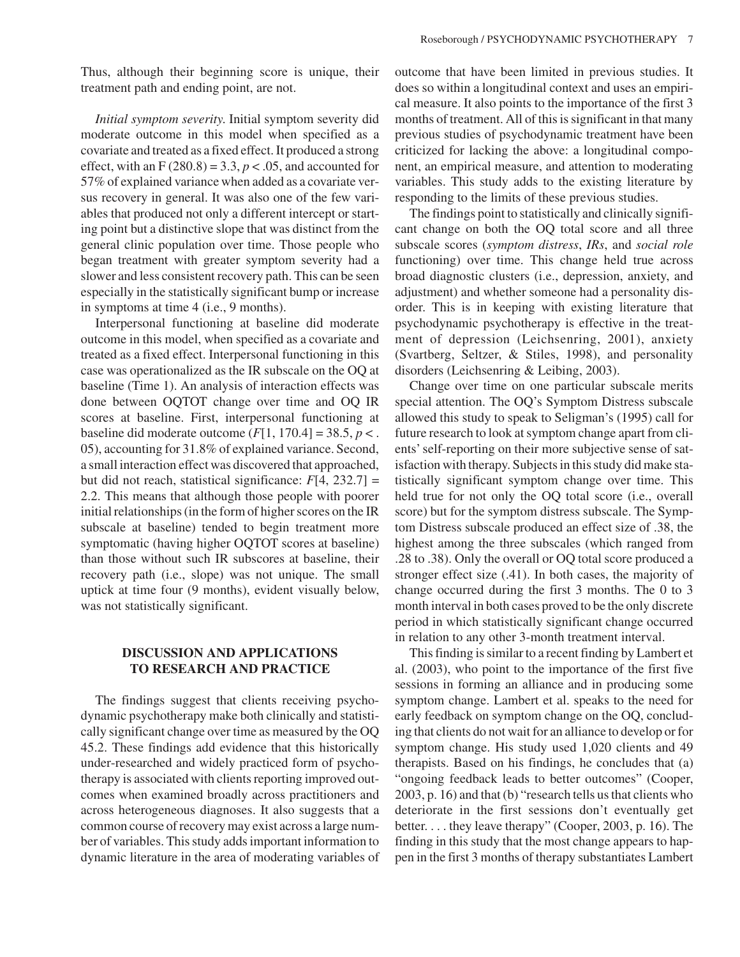Thus, although their beginning score is unique, their treatment path and ending point, are not.

*Initial symptom severity*. Initial symptom severity did moderate outcome in this model when specified as a covariate and treated as a fixed effect. It produced a strong effect, with an F  $(280.8) = 3.3, p < .05$ , and accounted for 57% of explained variance when added as a covariate versus recovery in general. It was also one of the few variables that produced not only a different intercept or starting point but a distinctive slope that was distinct from the general clinic population over time. Those people who began treatment with greater symptom severity had a slower and less consistent recovery path. This can be seen especially in the statistically significant bump or increase in symptoms at time 4 (i.e., 9 months).

Interpersonal functioning at baseline did moderate outcome in this model, when specified as a covariate and treated as a fixed effect. Interpersonal functioning in this case was operationalized as the IR subscale on the OQ at baseline (Time 1). An analysis of interaction effects was done between OQTOT change over time and OQ IR scores at baseline. First, interpersonal functioning at baseline did moderate outcome  $(F[1, 170.4] = 38.5, p < .$ 05), accounting for 31.8% of explained variance. Second, a small interaction effect was discovered that approached, but did not reach, statistical significance: *F*[4, 232.7] = 2.2. This means that although those people with poorer initial relationships (in the form of higher scores on the IR subscale at baseline) tended to begin treatment more symptomatic (having higher OQTOT scores at baseline) than those without such IR subscores at baseline, their recovery path (i.e., slope) was not unique. The small uptick at time four (9 months), evident visually below, was not statistically significant.

## **DISCUSSION AND APPLICATIONS TO RESEARCH AND PRACTICE**

The findings suggest that clients receiving psychodynamic psychotherapy make both clinically and statistically significant change over time as measured by the OQ 45.2. These findings add evidence that this historically under-researched and widely practiced form of psychotherapy is associated with clients reporting improved outcomes when examined broadly across practitioners and across heterogeneous diagnoses. It also suggests that a common course of recovery may exist across a large number of variables. This study adds important information to dynamic literature in the area of moderating variables of

outcome that have been limited in previous studies. It does so within a longitudinal context and uses an empirical measure. It also points to the importance of the first 3 months of treatment. All of this is significant in that many previous studies of psychodynamic treatment have been criticized for lacking the above: a longitudinal component, an empirical measure, and attention to moderating variables. This study adds to the existing literature by responding to the limits of these previous studies.

The findings point to statistically and clinically significant change on both the OQ total score and all three subscale scores (*symptom distress*, *IRs*, and *social role* functioning) over time. This change held true across broad diagnostic clusters (i.e., depression, anxiety, and adjustment) and whether someone had a personality disorder. This is in keeping with existing literature that psychodynamic psychotherapy is effective in the treatment of depression (Leichsenring, 2001), anxiety (Svartberg, Seltzer, & Stiles, 1998), and personality disorders (Leichsenring & Leibing, 2003).

Change over time on one particular subscale merits special attention. The OQ's Symptom Distress subscale allowed this study to speak to Seligman's (1995) call for future research to look at symptom change apart from clients' self-reporting on their more subjective sense of satisfaction with therapy. Subjects in this study did make statistically significant symptom change over time. This held true for not only the OQ total score (i.e., overall score) but for the symptom distress subscale. The Symptom Distress subscale produced an effect size of .38, the highest among the three subscales (which ranged from .28 to .38). Only the overall or OQ total score produced a stronger effect size (.41). In both cases, the majority of change occurred during the first 3 months. The 0 to 3 month interval in both cases proved to be the only discrete period in which statistically significant change occurred in relation to any other 3-month treatment interval.

This finding is similar to a recent finding by Lambert et al. (2003), who point to the importance of the first five sessions in forming an alliance and in producing some symptom change. Lambert et al. speaks to the need for early feedback on symptom change on the OQ, concluding that clients do not wait for an alliance to develop or for symptom change. His study used 1,020 clients and 49 therapists. Based on his findings, he concludes that (a) "ongoing feedback leads to better outcomes" (Cooper, 2003, p. 16) and that (b) "research tells us that clients who deteriorate in the first sessions don't eventually get better. . . . they leave therapy" (Cooper, 2003, p. 16). The finding in this study that the most change appears to happen in the first 3 months of therapy substantiates Lambert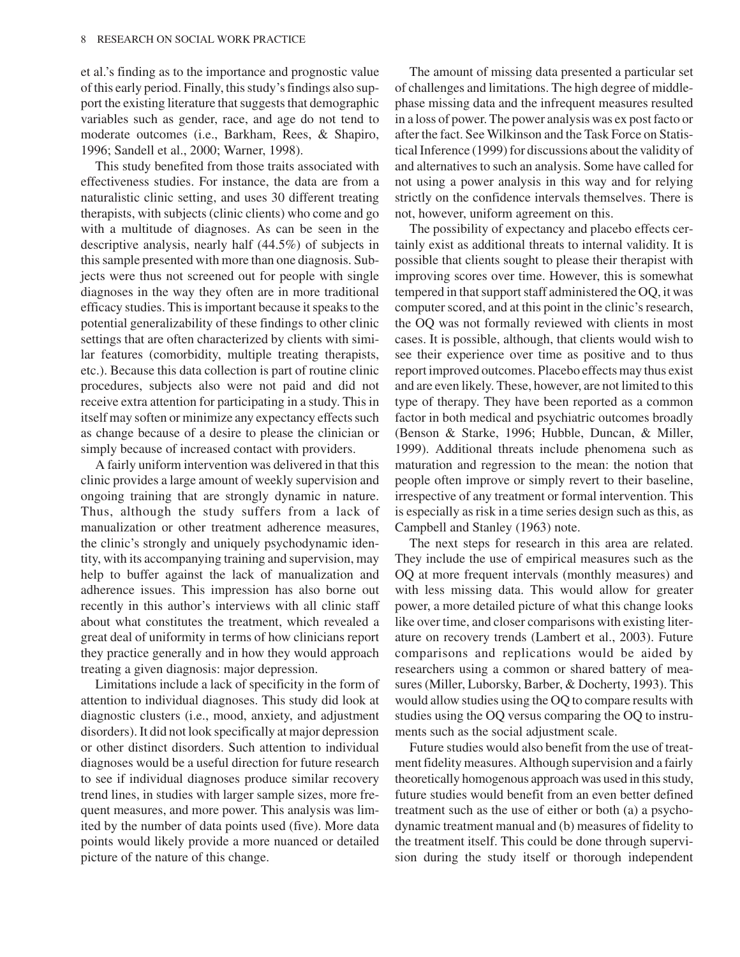et al.'s finding as to the importance and prognostic value of this early period. Finally, this study's findings also support the existing literature that suggests that demographic variables such as gender, race, and age do not tend to moderate outcomes (i.e., Barkham, Rees, & Shapiro, 1996; Sandell et al., 2000; Warner, 1998).

This study benefited from those traits associated with effectiveness studies. For instance, the data are from a naturalistic clinic setting, and uses 30 different treating therapists, with subjects (clinic clients) who come and go with a multitude of diagnoses. As can be seen in the descriptive analysis, nearly half (44.5%) of subjects in this sample presented with more than one diagnosis. Subjects were thus not screened out for people with single diagnoses in the way they often are in more traditional efficacy studies. This is important because it speaks to the potential generalizability of these findings to other clinic settings that are often characterized by clients with similar features (comorbidity, multiple treating therapists, etc.). Because this data collection is part of routine clinic procedures, subjects also were not paid and did not receive extra attention for participating in a study. This in itself may soften or minimize any expectancy effects such as change because of a desire to please the clinician or simply because of increased contact with providers.

A fairly uniform intervention was delivered in that this clinic provides a large amount of weekly supervision and ongoing training that are strongly dynamic in nature. Thus, although the study suffers from a lack of manualization or other treatment adherence measures, the clinic's strongly and uniquely psychodynamic identity, with its accompanying training and supervision, may help to buffer against the lack of manualization and adherence issues. This impression has also borne out recently in this author's interviews with all clinic staff about what constitutes the treatment, which revealed a great deal of uniformity in terms of how clinicians report they practice generally and in how they would approach treating a given diagnosis: major depression.

Limitations include a lack of specificity in the form of attention to individual diagnoses. This study did look at diagnostic clusters (i.e., mood, anxiety, and adjustment disorders). It did not look specifically at major depression or other distinct disorders. Such attention to individual diagnoses would be a useful direction for future research to see if individual diagnoses produce similar recovery trend lines, in studies with larger sample sizes, more frequent measures, and more power. This analysis was limited by the number of data points used (five). More data points would likely provide a more nuanced or detailed picture of the nature of this change.

The amount of missing data presented a particular set of challenges and limitations. The high degree of middlephase missing data and the infrequent measures resulted in a loss of power. The power analysis was ex post facto or after the fact. See Wilkinson and the Task Force on Statistical Inference (1999) for discussions about the validity of and alternatives to such an analysis. Some have called for not using a power analysis in this way and for relying strictly on the confidence intervals themselves. There is not, however, uniform agreement on this.

The possibility of expectancy and placebo effects certainly exist as additional threats to internal validity. It is possible that clients sought to please their therapist with improving scores over time. However, this is somewhat tempered in that support staff administered the OQ, it was computer scored, and at this point in the clinic's research, the OQ was not formally reviewed with clients in most cases. It is possible, although, that clients would wish to see their experience over time as positive and to thus report improved outcomes. Placebo effects may thus exist and are even likely. These, however, are not limited to this type of therapy. They have been reported as a common factor in both medical and psychiatric outcomes broadly (Benson & Starke, 1996; Hubble, Duncan, & Miller, 1999). Additional threats include phenomena such as maturation and regression to the mean: the notion that people often improve or simply revert to their baseline, irrespective of any treatment or formal intervention. This is especially as risk in a time series design such as this, as Campbell and Stanley (1963) note.

The next steps for research in this area are related. They include the use of empirical measures such as the OQ at more frequent intervals (monthly measures) and with less missing data. This would allow for greater power, a more detailed picture of what this change looks like over time, and closer comparisons with existing literature on recovery trends (Lambert et al., 2003). Future comparisons and replications would be aided by researchers using a common or shared battery of measures (Miller, Luborsky, Barber, & Docherty, 1993). This would allow studies using the OQ to compare results with studies using the OQ versus comparing the OQ to instruments such as the social adjustment scale.

Future studies would also benefit from the use of treatment fidelity measures. Although supervision and a fairly theoretically homogenous approach was used in this study, future studies would benefit from an even better defined treatment such as the use of either or both (a) a psychodynamic treatment manual and (b) measures of fidelity to the treatment itself. This could be done through supervision during the study itself or thorough independent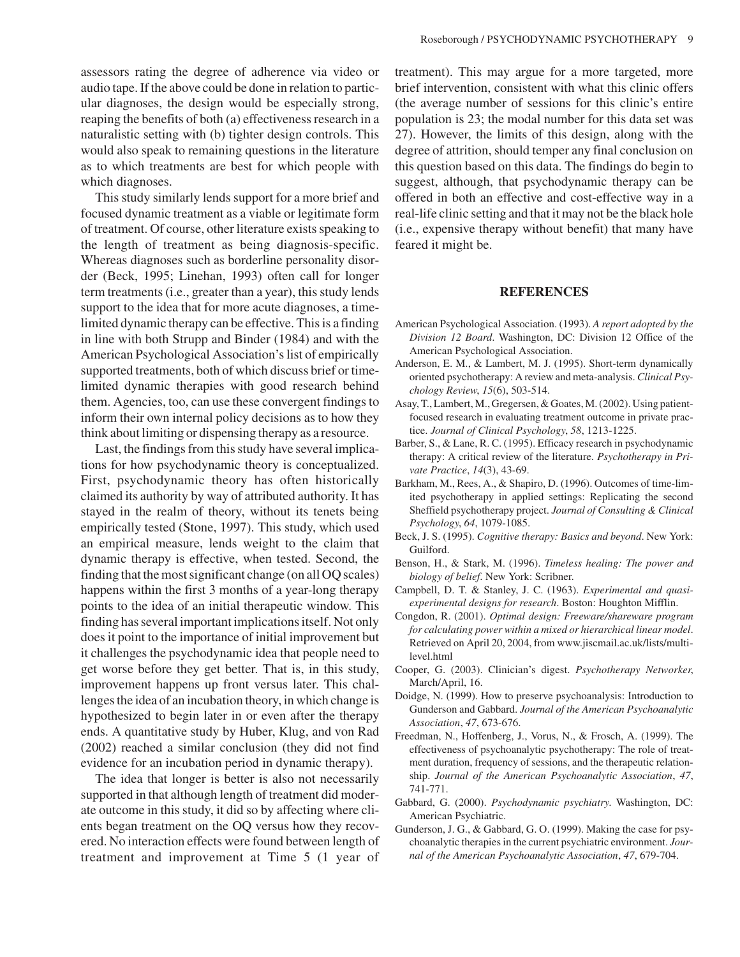assessors rating the degree of adherence via video or audio tape. If the above could be done in relation to particular diagnoses, the design would be especially strong, reaping the benefits of both (a) effectiveness research in a naturalistic setting with (b) tighter design controls. This would also speak to remaining questions in the literature as to which treatments are best for which people with which diagnoses.

This study similarly lends support for a more brief and focused dynamic treatment as a viable or legitimate form of treatment. Of course, other literature exists speaking to the length of treatment as being diagnosis-specific. Whereas diagnoses such as borderline personality disorder (Beck, 1995; Linehan, 1993) often call for longer term treatments (i.e., greater than a year), this study lends support to the idea that for more acute diagnoses, a timelimited dynamic therapy can be effective. This is a finding in line with both Strupp and Binder (1984) and with the American Psychological Association's list of empirically supported treatments, both of which discuss brief or timelimited dynamic therapies with good research behind them. Agencies, too, can use these convergent findings to inform their own internal policy decisions as to how they think about limiting or dispensing therapy as a resource.

Last, the findings from this study have several implications for how psychodynamic theory is conceptualized. First, psychodynamic theory has often historically claimed its authority by way of attributed authority. It has stayed in the realm of theory, without its tenets being empirically tested (Stone, 1997). This study, which used an empirical measure, lends weight to the claim that dynamic therapy is effective, when tested. Second, the finding that the most significant change (on all OQ scales) happens within the first 3 months of a year-long therapy points to the idea of an initial therapeutic window. This finding has several important implications itself. Not only does it point to the importance of initial improvement but it challenges the psychodynamic idea that people need to get worse before they get better. That is, in this study, improvement happens up front versus later. This challenges the idea of an incubation theory, in which change is hypothesized to begin later in or even after the therapy ends. A quantitative study by Huber, Klug, and von Rad (2002) reached a similar conclusion (they did not find evidence for an incubation period in dynamic therapy).

The idea that longer is better is also not necessarily supported in that although length of treatment did moderate outcome in this study, it did so by affecting where clients began treatment on the OQ versus how they recovered. No interaction effects were found between length of treatment and improvement at Time 5 (1 year of treatment). This may argue for a more targeted, more brief intervention, consistent with what this clinic offers (the average number of sessions for this clinic's entire population is 23; the modal number for this data set was 27). However, the limits of this design, along with the degree of attrition, should temper any final conclusion on this question based on this data. The findings do begin to suggest, although, that psychodynamic therapy can be offered in both an effective and cost-effective way in a real-life clinic setting and that it may not be the black hole (i.e., expensive therapy without benefit) that many have feared it might be.

## **REFERENCES**

- American Psychological Association. (1993). *A report adopted by the Division 12 Board*. Washington, DC: Division 12 Office of the American Psychological Association.
- Anderson, E. M., & Lambert, M. J. (1995). Short-term dynamically oriented psychotherapy: A review and meta-analysis. *Clinical Psychology Review*, *15*(6), 503-514.
- Asay, T., Lambert, M., Gregersen, & Goates, M. (2002). Using patientfocused research in evaluating treatment outcome in private practice. *Journal of Clinical Psychology*, *58*, 1213-1225.
- Barber, S., & Lane, R. C. (1995). Efficacy research in psychodynamic therapy: A critical review of the literature. *Psychotherapy in Private Practice*, *14*(3), 43-69.
- Barkham, M., Rees, A., & Shapiro, D. (1996). Outcomes of time-limited psychotherapy in applied settings: Replicating the second Sheffield psychotherapy project. *Journal of Consulting & Clinical Psychology*, *64*, 1079-1085.
- Beck, J. S. (1995). *Cognitive therapy: Basics and beyond*. New York: Guilford.
- Benson, H., & Stark, M. (1996). *Timeless healing: The power and biology of belief*. New York: Scribner.
- Campbell, D. T. & Stanley, J. C. (1963). *Experimental and quasiexperimental designs for research*. Boston: Houghton Mifflin.
- Congdon, R. (2001). *Optimal design: Freeware/shareware program for calculating power within a mixed or hierarchical linear model*. Retrieved on April 20, 2004, from www.jiscmail.ac.uk/lists/multilevel.html
- Cooper, G. (2003). Clinician's digest. *Psychotherapy Networker*, March/April, 16.
- Doidge, N. (1999). How to preserve psychoanalysis: Introduction to Gunderson and Gabbard. *Journal of the American Psychoanalytic Association*, *47*, 673-676.
- Freedman, N., Hoffenberg, J., Vorus, N., & Frosch, A. (1999). The effectiveness of psychoanalytic psychotherapy: The role of treatment duration, frequency of sessions, and the therapeutic relationship. *Journal of the American Psychoanalytic Association*, *47*, 741-771.
- Gabbard, G. (2000). *Psychodynamic psychiatry*. Washington, DC: American Psychiatric.
- Gunderson, J. G., & Gabbard, G. O. (1999). Making the case for psychoanalytic therapies in the current psychiatric environment. *Journal of the American Psychoanalytic Association*, *47*, 679-704.